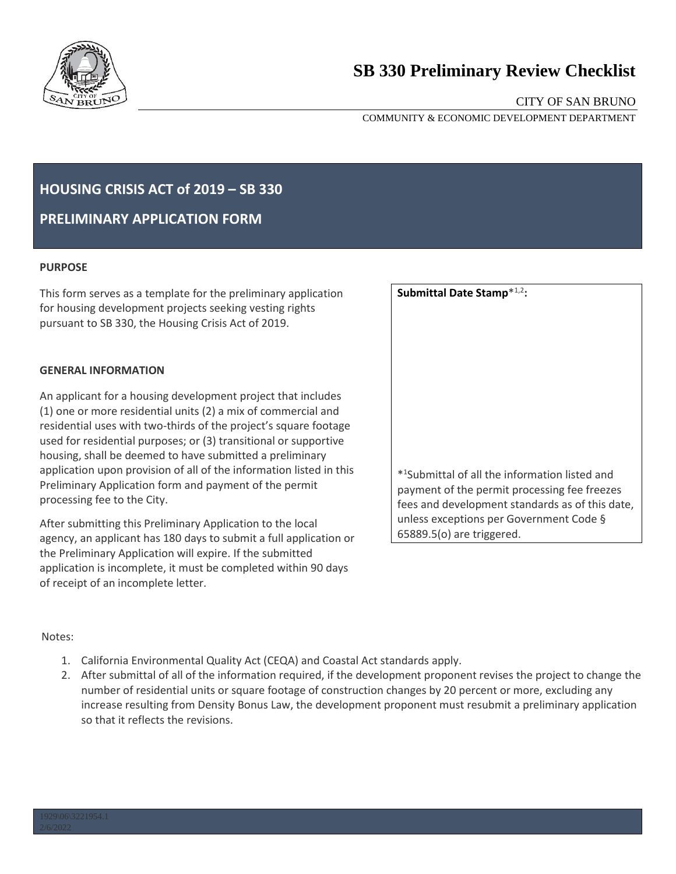

# **SB 330 Preliminary Review Checklist**

# CITY OF SAN BRUNO

COMMUNITY & ECONOMIC DEVELOPMENT DEPARTMENT

# **HOUSING CRISIS ACT of 2019 – SB 330**

**PRELIMINARY APPLICATION FORM** 

#### **PURPOSE**

This form serves as a template for the preliminary application for housing development projects seeking vesting rights pursuant to SB 330, the Housing Crisis Act of 2019.

## **GENERAL INFORMATION**

An applicant for a housing development project that includes (1) one or more residential units (2) a mix of commercial and residential uses with two-thirds of the project's square footage used for residential purposes; or (3) transitional or supportive housing, shall be deemed to have submitted a preliminary application upon provision of all of the information listed in this Preliminary Application form and payment of the permit processing fee to the City.

After submitting this Preliminary Application to the local agency, an applicant has 180 days to submit a full application or the Preliminary Application will expire. If the submitted application is incomplete, it must be completed within 90 days of receipt of an incomplete letter.

| Submittal Date Stamp*1,2:                                                                  |
|--------------------------------------------------------------------------------------------|
|                                                                                            |
|                                                                                            |
|                                                                                            |
|                                                                                            |
|                                                                                            |
| * <sup>1</sup> Submittal of all the information listed and                                 |
| payment of the permit processing fee freezes                                               |
| fees and development standards as of this date,<br>unless exceptions per Government Code § |
| 65889.5(o) are triggered.                                                                  |

## Notes:

- 1. California Environmental Quality Act (CEQA) and Coastal Act standards apply.
- 2. After submittal of all of the information required, if the development proponent revises the project to change the number of residential units or square footage of construction changes by 20 percent or more, excluding any increase resulting from Density Bonus Law, the development proponent must resubmit a preliminary application so that it reflects the revisions.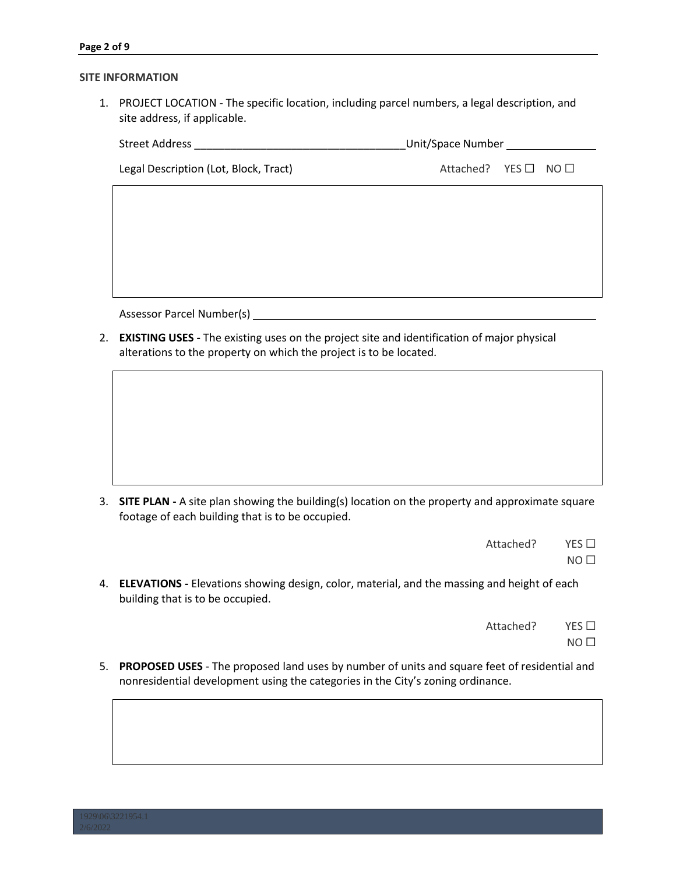#### **SITE INFORMATION**

1. PROJECT LOCATION - The specific location, including parcel numbers, a legal description, and site address, if applicable.

| <b>Street Address</b> | Unit/Space Number |  |
|-----------------------|-------------------|--|
|                       |                   |  |

Legal Description (Lot, Block, Tract) Attached? YES □ NO □

Assessor Parcel Number(s)

2. **EXISTING USES -** The existing uses on the project site and identification of major physical alterations to the property on which the project is to be located.

3. **SITE PLAN -** A site plan showing the building(s) location on the property and approximate square footage of each building that is to be occupied.

| Attached? | YES $\Box$      |
|-----------|-----------------|
|           | NO <sub>1</sub> |

4. **ELEVATIONS -** Elevations showing design, color, material, and the massing and height of each building that is to be occupied.

| Attached? | YES $\Box$ |
|-----------|------------|
|           |            |

- $NO<sub>1</sub>$
- 5. **PROPOSED USES** The proposed land uses by number of units and square feet of residential and nonresidential development using the categories in the City's zoning ordinance.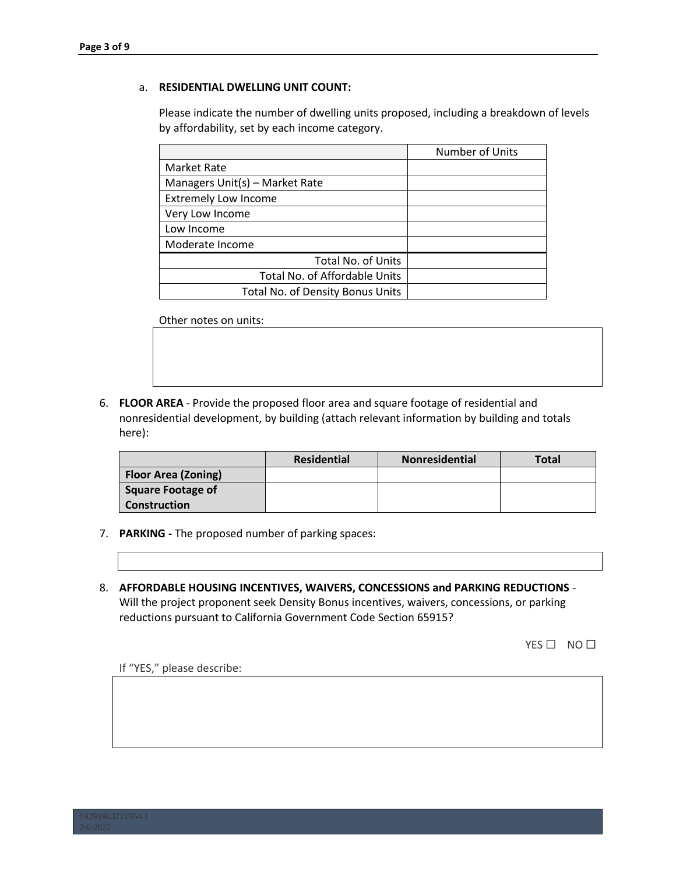#### a. **RESIDENTIAL DWELLING UNIT COUNT:**

Please indicate the number of dwelling units proposed, including a breakdown of levels by affordability, set by each income category.

|                                  | Number of Units |
|----------------------------------|-----------------|
| <b>Market Rate</b>               |                 |
| Managers Unit(s) - Market Rate   |                 |
| <b>Extremely Low Income</b>      |                 |
| Very Low Income                  |                 |
| Low Income                       |                 |
| Moderate Income                  |                 |
| <b>Total No. of Units</b>        |                 |
| Total No. of Affordable Units    |                 |
| Total No. of Density Bonus Units |                 |

Other notes on units:

6. **FLOOR AREA** - Provide the proposed floor area and square footage of residential and nonresidential development, by building (attach relevant information by building and totals here):

|                            | <b>Residential</b> | Nonresidential | <b>Total</b> |
|----------------------------|--------------------|----------------|--------------|
| <b>Floor Area (Zoning)</b> |                    |                |              |
| Square Footage of          |                    |                |              |
| Construction               |                    |                |              |

- 7. **PARKING -** The proposed number of parking spaces:
- 8. **AFFORDABLE HOUSING INCENTIVES, WAIVERS, CONCESSIONS and PARKING REDUCTIONS** Will the project proponent seek Density Bonus incentives, waivers, concessions, or parking reductions pursuant to California Government Code Section 65915?

YES □ NO □

If "YES," please describe: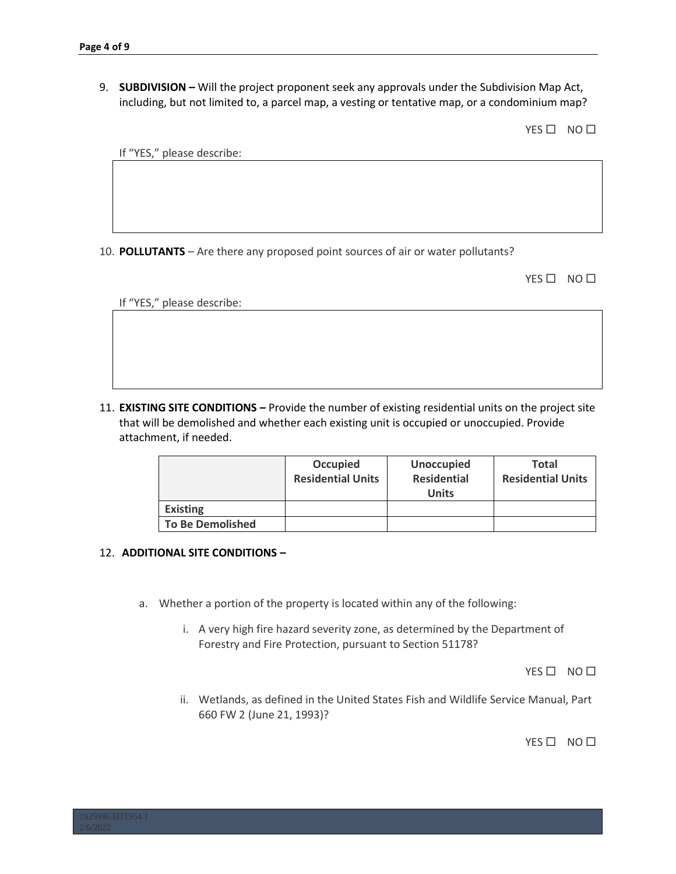9. **SUBDIVISION –** Will the project proponent seek any approvals under the Subdivision Map Act, including, but not limited to, a parcel map, a vesting or tentative map, or a condominium map?

YES □ NO □

If "YES," please describe:

10. **POLLUTANTS** – Are there any proposed point sources of air or water pollutants?

YES □ NO □

If "YES," please describe:

11. **EXISTING SITE CONDITIONS –** Provide the number of existing residential units on the project site that will be demolished and whether each existing unit is occupied or unoccupied. Provide attachment, if needed.

|                         | <b>Occupied</b><br><b>Residential Units</b> | <b>Unoccupied</b><br><b>Residential</b><br><b>Units</b> | <b>Total</b><br><b>Residential Units</b> |
|-------------------------|---------------------------------------------|---------------------------------------------------------|------------------------------------------|
| <b>Existing</b>         |                                             |                                                         |                                          |
| <b>To Be Demolished</b> |                                             |                                                         |                                          |

#### 12. **ADDITIONAL SITE CONDITIONS –**

- a. Whether a portion of the property is located within any of the following:
	- i. A very high fire hazard severity zone, as determined by the Department of Forestry and Fire Protection, pursuant to Section 51178?

YES □ NO □

ii. Wetlands, as defined in the United States Fish and Wildlife Service Manual, Part 660 FW 2 (June 21, 1993)?

YES □ NO □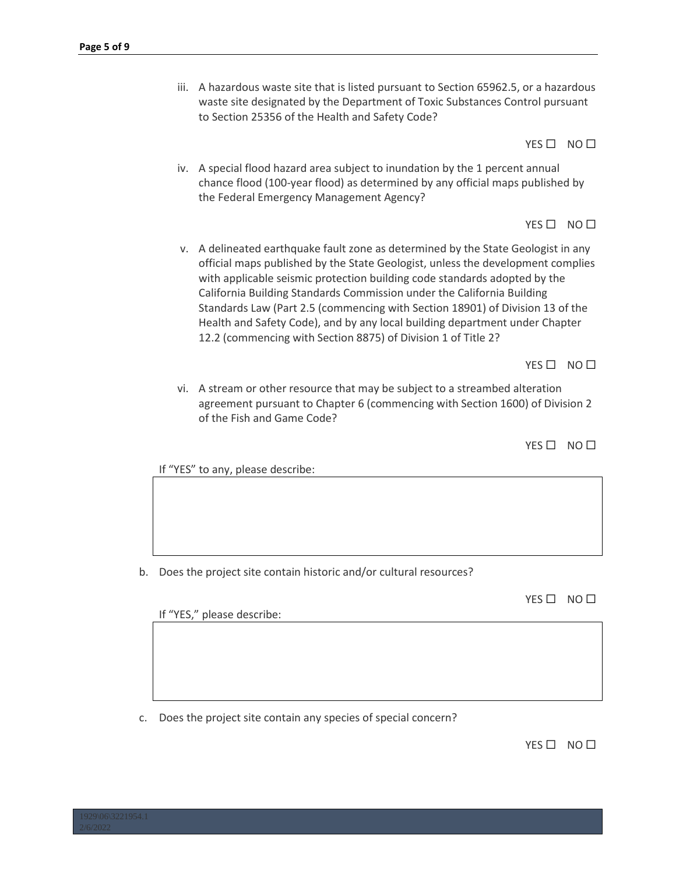iii. A hazardous waste site that is listed pursuant to Section 65962.5, or a hazardous waste site designated by the Department of Toxic Substances Control pursuant to Section 25356 of the Health and Safety Code?

YES □ NO □

iv. A special flood hazard area subject to inundation by the 1 percent annual chance flood (100-year flood) as determined by any official maps published by the Federal Emergency Management Agency?

YES □ NO □

v. A delineated earthquake fault zone as determined by the State Geologist in any official maps published by the State Geologist, unless the development complies with applicable seismic protection building code standards adopted by the California Building Standards Commission under the California Building Standards Law (Part 2.5 (commencing with Section 18901) of Division 13 of the Health and Safety Code), and by any local building department under Chapter 12.2 (commencing with Section 8875) of Division 1 of Title 2?

YES □ NO □

vi. A stream or other resource that may be subject to a streambed alteration agreement pursuant to Chapter 6 (commencing with Section 1600) of Division 2 of the Fish and Game Code?

YES □ NO □

If "YES" to any, please describe:

b. Does the project site contain historic and/or cultural resources?

YES □ NO □

If "YES," please describe:

c. Does the project site contain any species of special concern?

YES □ NO □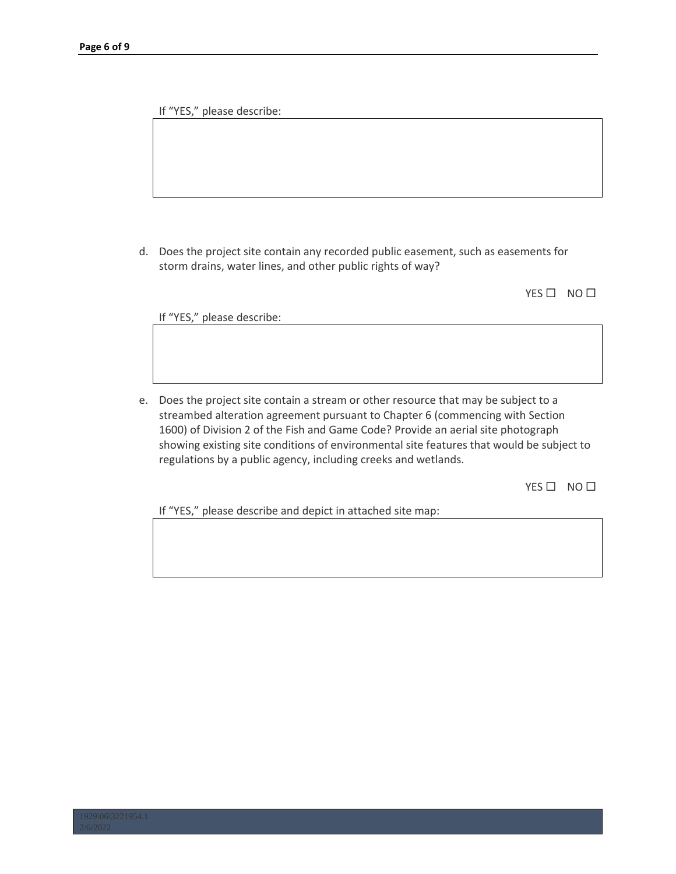If "YES," please describe:

d. Does the project site contain any recorded public easement, such as easements for storm drains, water lines, and other public rights of way?

YES□ NO□

If "YES," please describe:

e. Does the project site contain a stream or other resource that may be subject to a streambed alteration agreement pursuant to Chapter 6 (commencing with Section 1600) of Division 2 of the Fish and Game Code? Provide an aerial site photograph showing existing site conditions of environmental site features that would be subject to regulations by a public agency, including creeks and wetlands.

YES □ NO □

If "YES," please describe and depict in attached site map: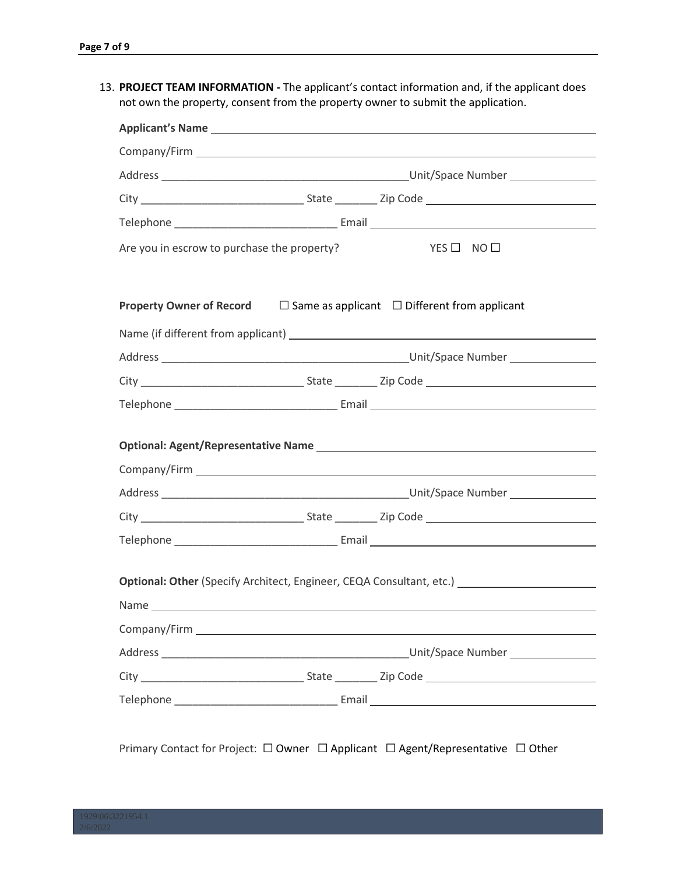13. **PROJECT TEAM INFORMATION -** The applicant's contact information and, if the applicant does not own the property, consent from the property owner to submit the application.

| YES O NO O<br>Optional: Other (Specify Architect, Engineer, CEQA Consultant, etc.) __________________                                   |  |                                                                                                                                                                                                                                                                                                                                                                                                                                                              |
|-----------------------------------------------------------------------------------------------------------------------------------------|--|--------------------------------------------------------------------------------------------------------------------------------------------------------------------------------------------------------------------------------------------------------------------------------------------------------------------------------------------------------------------------------------------------------------------------------------------------------------|
| Are you in escrow to purchase the property?<br><b>Property Owner of Record</b> $\Box$ Same as applicant $\Box$ Different from applicant |  |                                                                                                                                                                                                                                                                                                                                                                                                                                                              |
|                                                                                                                                         |  |                                                                                                                                                                                                                                                                                                                                                                                                                                                              |
|                                                                                                                                         |  |                                                                                                                                                                                                                                                                                                                                                                                                                                                              |
|                                                                                                                                         |  |                                                                                                                                                                                                                                                                                                                                                                                                                                                              |
|                                                                                                                                         |  |                                                                                                                                                                                                                                                                                                                                                                                                                                                              |
|                                                                                                                                         |  |                                                                                                                                                                                                                                                                                                                                                                                                                                                              |
|                                                                                                                                         |  |                                                                                                                                                                                                                                                                                                                                                                                                                                                              |
|                                                                                                                                         |  |                                                                                                                                                                                                                                                                                                                                                                                                                                                              |
|                                                                                                                                         |  |                                                                                                                                                                                                                                                                                                                                                                                                                                                              |
|                                                                                                                                         |  |                                                                                                                                                                                                                                                                                                                                                                                                                                                              |
|                                                                                                                                         |  |                                                                                                                                                                                                                                                                                                                                                                                                                                                              |
|                                                                                                                                         |  |                                                                                                                                                                                                                                                                                                                                                                                                                                                              |
|                                                                                                                                         |  |                                                                                                                                                                                                                                                                                                                                                                                                                                                              |
|                                                                                                                                         |  |                                                                                                                                                                                                                                                                                                                                                                                                                                                              |
|                                                                                                                                         |  |                                                                                                                                                                                                                                                                                                                                                                                                                                                              |
|                                                                                                                                         |  |                                                                                                                                                                                                                                                                                                                                                                                                                                                              |
|                                                                                                                                         |  |                                                                                                                                                                                                                                                                                                                                                                                                                                                              |
|                                                                                                                                         |  |                                                                                                                                                                                                                                                                                                                                                                                                                                                              |
|                                                                                                                                         |  |                                                                                                                                                                                                                                                                                                                                                                                                                                                              |
|                                                                                                                                         |  | $\mathcal{L} = \mathcal{L} = \mathcal{L} = \mathcal{L} = \mathcal{L} = \mathcal{L} = \mathcal{L} = \mathcal{L} = \mathcal{L} = \mathcal{L} = \mathcal{L} = \mathcal{L} = \mathcal{L} = \mathcal{L} = \mathcal{L} = \mathcal{L} = \mathcal{L} = \mathcal{L} = \mathcal{L} = \mathcal{L} = \mathcal{L} = \mathcal{L} = \mathcal{L} = \mathcal{L} = \mathcal{L} = \mathcal{L} = \mathcal{L} = \mathcal{L} = \mathcal{L} = \mathcal{L} = \mathcal{L} = \mathcal$ |

Primary Contact for Project: □ Owner □ Applicant □ Agent/Representative □ Other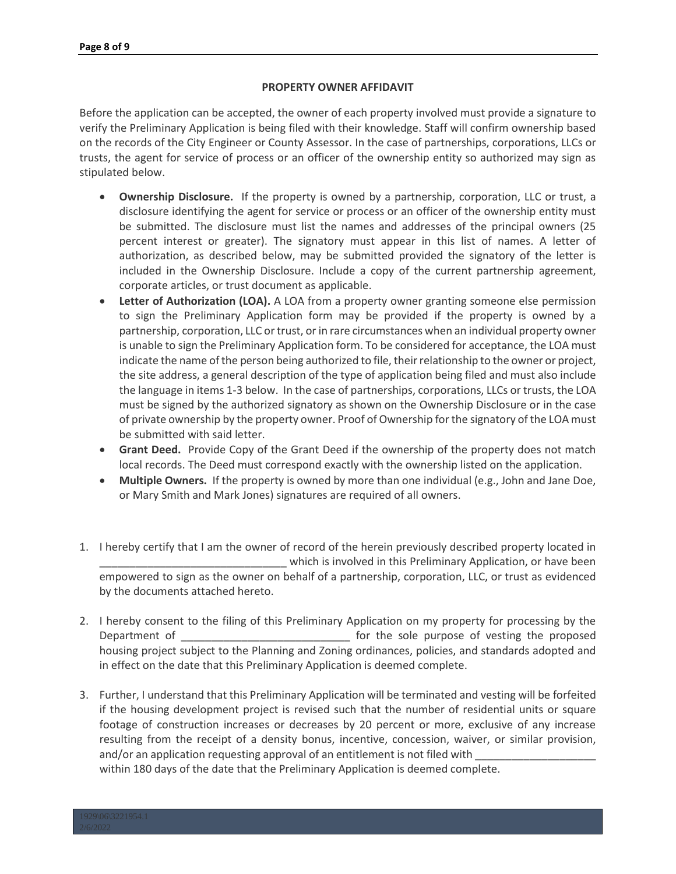#### **PROPERTY OWNER AFFIDAVIT**

Before the application can be accepted, the owner of each property involved must provide a signature to verify the Preliminary Application is being filed with their knowledge. Staff will confirm ownership based on the records of the City Engineer or County Assessor. In the case of partnerships, corporations, LLCs or trusts, the agent for service of process or an officer of the ownership entity so authorized may sign as stipulated below.

- **Ownership Disclosure.** If the property is owned by a partnership, corporation, LLC or trust, a disclosure identifying the agent for service or process or an officer of the ownership entity must be submitted. The disclosure must list the names and addresses of the principal owners (25 percent interest or greater). The signatory must appear in this list of names. A letter of authorization, as described below, may be submitted provided the signatory of the letter is included in the Ownership Disclosure. Include a copy of the current partnership agreement, corporate articles, or trust document as applicable.
- Letter of Authorization (LOA). A LOA from a property owner granting someone else permission to sign the Preliminary Application form may be provided if the property is owned by a partnership, corporation, LLC or trust, or in rare circumstances when an individual property owner is unable to sign the Preliminary Application form. To be considered for acceptance, the LOA must indicate the name of the person being authorized to file, their relationship to the owner or project, the site address, a general description of the type of application being filed and must also include the language in items 1-3 below. In the case of partnerships, corporations, LLCs or trusts, the LOA must be signed by the authorized signatory as shown on the Ownership Disclosure or in the case of private ownership by the property owner. Proof of Ownership for the signatory of the LOA must be submitted with said letter.
- **Grant Deed.** Provide Copy of the Grant Deed if the ownership of the property does not match local records. The Deed must correspond exactly with the ownership listed on the application.
- **Multiple Owners.** If the property is owned by more than one individual (e.g., John and Jane Doe, or Mary Smith and Mark Jones) signatures are required of all owners.
- 1. I hereby certify that I am the owner of record of the herein previously described property located in which is involved in this Preliminary Application, or have been empowered to sign as the owner on behalf of a partnership, corporation, LLC, or trust as evidenced by the documents attached hereto.
- 2. I hereby consent to the filing of this Preliminary Application on my property for processing by the Department of \_\_\_\_\_\_\_\_\_\_\_\_\_\_\_\_\_\_\_\_\_\_\_\_\_\_\_\_ for the sole purpose of vesting the proposed housing project subject to the Planning and Zoning ordinances, policies, and standards adopted and in effect on the date that this Preliminary Application is deemed complete.
- 3. Further, I understand that this Preliminary Application will be terminated and vesting will be forfeited if the housing development project is revised such that the number of residential units or square footage of construction increases or decreases by 20 percent or more, exclusive of any increase resulting from the receipt of a density bonus, incentive, concession, waiver, or similar provision, and/or an application requesting approval of an entitlement is not filed with within 180 days of the date that the Preliminary Application is deemed complete.